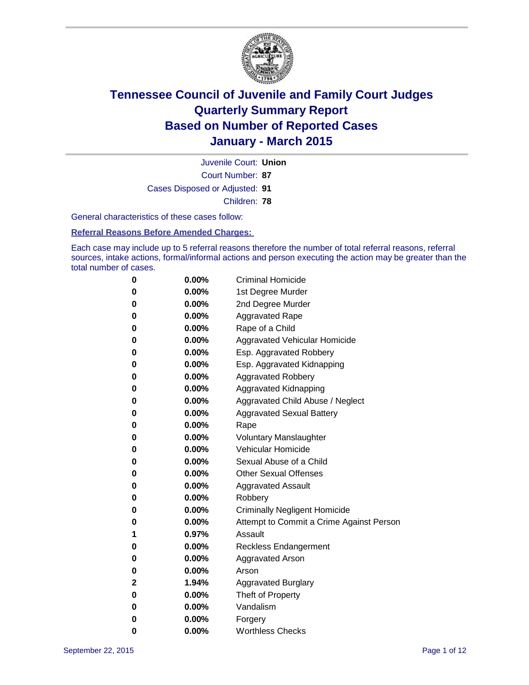

Court Number: **87** Juvenile Court: **Union** Cases Disposed or Adjusted: **91** Children: **78**

General characteristics of these cases follow:

**Referral Reasons Before Amended Charges:** 

Each case may include up to 5 referral reasons therefore the number of total referral reasons, referral sources, intake actions, formal/informal actions and person executing the action may be greater than the total number of cases.

| 0        | $0.00\%$ | <b>Criminal Homicide</b>                 |
|----------|----------|------------------------------------------|
| 0        | $0.00\%$ | 1st Degree Murder                        |
| $\bf{0}$ | $0.00\%$ | 2nd Degree Murder                        |
| 0        | $0.00\%$ | <b>Aggravated Rape</b>                   |
| 0        | $0.00\%$ | Rape of a Child                          |
| 0        | $0.00\%$ | Aggravated Vehicular Homicide            |
| $\bf{0}$ | $0.00\%$ | Esp. Aggravated Robbery                  |
| 0        | $0.00\%$ | Esp. Aggravated Kidnapping               |
| $\bf{0}$ | $0.00\%$ | <b>Aggravated Robbery</b>                |
| $\bf{0}$ | 0.00%    | <b>Aggravated Kidnapping</b>             |
| 0        | 0.00%    | Aggravated Child Abuse / Neglect         |
| 0        | 0.00%    | <b>Aggravated Sexual Battery</b>         |
| $\bf{0}$ | $0.00\%$ | Rape                                     |
| 0        | $0.00\%$ | <b>Voluntary Manslaughter</b>            |
| 0        | $0.00\%$ | <b>Vehicular Homicide</b>                |
| $\bf{0}$ | $0.00\%$ | Sexual Abuse of a Child                  |
| $\bf{0}$ | $0.00\%$ | <b>Other Sexual Offenses</b>             |
| 0        | $0.00\%$ | <b>Aggravated Assault</b>                |
| 0        | $0.00\%$ | Robbery                                  |
| 0        | $0.00\%$ | <b>Criminally Negligent Homicide</b>     |
| 0        | $0.00\%$ | Attempt to Commit a Crime Against Person |
| 1        | 0.97%    | Assault                                  |
| 0        | 0.00%    | <b>Reckless Endangerment</b>             |
| 0        | $0.00\%$ | <b>Aggravated Arson</b>                  |
| 0        | $0.00\%$ | Arson                                    |
| 2        | 1.94%    | <b>Aggravated Burglary</b>               |
| $\bf{0}$ | $0.00\%$ | Theft of Property                        |
| 0        | $0.00\%$ | Vandalism                                |
| 0        | $0.00\%$ | Forgery                                  |
| 0        | $0.00\%$ | <b>Worthless Checks</b>                  |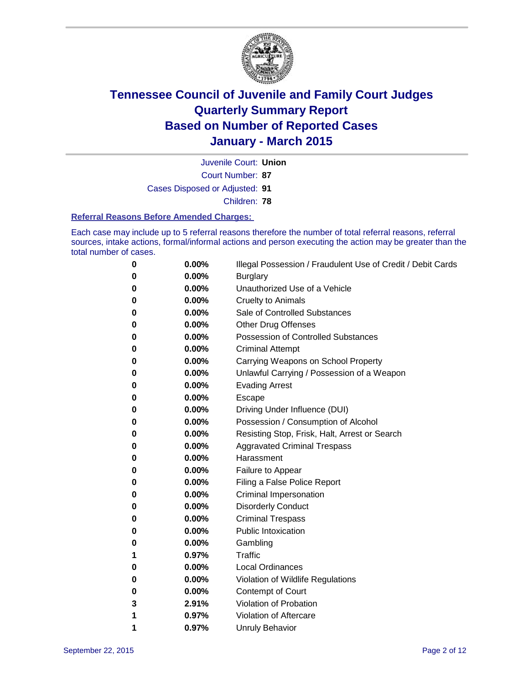

Court Number: **87** Juvenile Court: **Union** Cases Disposed or Adjusted: **91** Children: **78**

#### **Referral Reasons Before Amended Charges:**

Each case may include up to 5 referral reasons therefore the number of total referral reasons, referral sources, intake actions, formal/informal actions and person executing the action may be greater than the total number of cases.

| 0 | 0.00% | Illegal Possession / Fraudulent Use of Credit / Debit Cards |
|---|-------|-------------------------------------------------------------|
| 0 | 0.00% | <b>Burglary</b>                                             |
| 0 | 0.00% | Unauthorized Use of a Vehicle                               |
| 0 | 0.00% | <b>Cruelty to Animals</b>                                   |
| 0 | 0.00% | Sale of Controlled Substances                               |
| 0 | 0.00% | <b>Other Drug Offenses</b>                                  |
| 0 | 0.00% | <b>Possession of Controlled Substances</b>                  |
| 0 | 0.00% | <b>Criminal Attempt</b>                                     |
| 0 | 0.00% | Carrying Weapons on School Property                         |
| 0 | 0.00% | Unlawful Carrying / Possession of a Weapon                  |
| 0 | 0.00% | <b>Evading Arrest</b>                                       |
| 0 | 0.00% | Escape                                                      |
| 0 | 0.00% | Driving Under Influence (DUI)                               |
| 0 | 0.00% | Possession / Consumption of Alcohol                         |
| 0 | 0.00% | Resisting Stop, Frisk, Halt, Arrest or Search               |
| 0 | 0.00% | <b>Aggravated Criminal Trespass</b>                         |
| 0 | 0.00% | Harassment                                                  |
| 0 | 0.00% | Failure to Appear                                           |
| 0 | 0.00% | Filing a False Police Report                                |
| 0 | 0.00% | Criminal Impersonation                                      |
| 0 | 0.00% | <b>Disorderly Conduct</b>                                   |
| 0 | 0.00% | <b>Criminal Trespass</b>                                    |
| 0 | 0.00% | <b>Public Intoxication</b>                                  |
| 0 | 0.00% | Gambling                                                    |
| 1 | 0.97% | Traffic                                                     |
| 0 | 0.00% | <b>Local Ordinances</b>                                     |
| 0 | 0.00% | Violation of Wildlife Regulations                           |
| 0 | 0.00% | <b>Contempt of Court</b>                                    |
| 3 | 2.91% | Violation of Probation                                      |
| 1 | 0.97% | Violation of Aftercare                                      |
| 1 | 0.97% | <b>Unruly Behavior</b>                                      |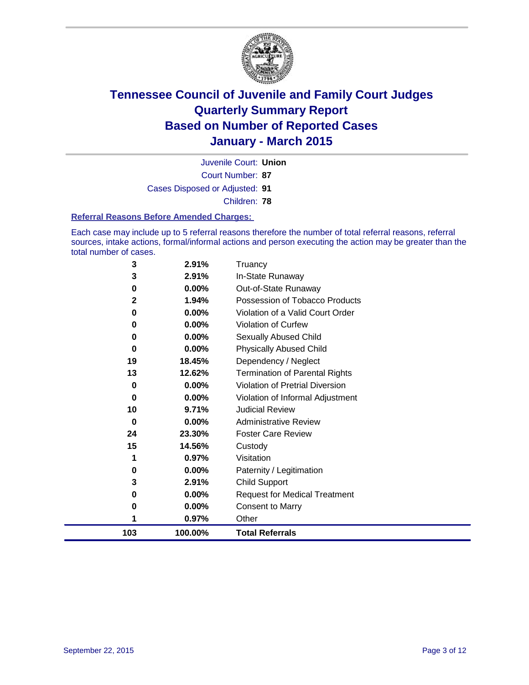

Court Number: **87** Juvenile Court: **Union** Cases Disposed or Adjusted: **91** Children: **78**

#### **Referral Reasons Before Amended Charges:**

Each case may include up to 5 referral reasons therefore the number of total referral reasons, referral sources, intake actions, formal/informal actions and person executing the action may be greater than the total number of cases.

| 3            | 2.91%    | Truancy                                |
|--------------|----------|----------------------------------------|
| 3            | 2.91%    | In-State Runaway                       |
| 0            | 0.00%    | Out-of-State Runaway                   |
| $\mathbf{2}$ | 1.94%    | Possession of Tobacco Products         |
| 0            | $0.00\%$ | Violation of a Valid Court Order       |
| 0            | 0.00%    | <b>Violation of Curfew</b>             |
| 0            | 0.00%    | <b>Sexually Abused Child</b>           |
| 0            | 0.00%    | <b>Physically Abused Child</b>         |
| 19           | 18.45%   | Dependency / Neglect                   |
| 13           | 12.62%   | <b>Termination of Parental Rights</b>  |
| 0            | 0.00%    | <b>Violation of Pretrial Diversion</b> |
| 0            | 0.00%    | Violation of Informal Adjustment       |
| 10           | 9.71%    | <b>Judicial Review</b>                 |
| 0            | $0.00\%$ | <b>Administrative Review</b>           |
| 24           | 23.30%   | <b>Foster Care Review</b>              |
| 15           | 14.56%   | Custody                                |
| 1            | 0.97%    | Visitation                             |
| 0            | 0.00%    | Paternity / Legitimation               |
| 3            | 2.91%    | <b>Child Support</b>                   |
| 0            | 0.00%    | <b>Request for Medical Treatment</b>   |
| 0            | 0.00%    | <b>Consent to Marry</b>                |
| 1            | 0.97%    | Other                                  |
| 103          | 100.00%  | <b>Total Referrals</b>                 |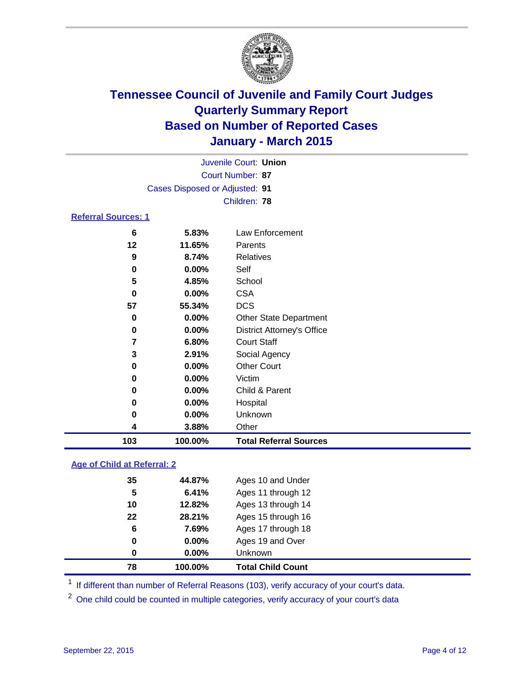

| Juvenile Court: Union          |  |
|--------------------------------|--|
| Court Number: 87               |  |
| Cases Disposed or Adjusted: 91 |  |
| Children: 78                   |  |
| <b>Referral Sources: 1</b>     |  |

| 103 | 100.00%  | <b>Total Referral Sources</b>     |
|-----|----------|-----------------------------------|
| 4   | 3.88%    | Other                             |
| 0   | 0.00%    | Unknown                           |
| 0   | $0.00\%$ | Hospital                          |
| 0   | 0.00%    | Child & Parent                    |
| 0   | 0.00%    | Victim                            |
| 0   | 0.00%    | <b>Other Court</b>                |
| 3   | 2.91%    | Social Agency                     |
| 7   | 6.80%    | <b>Court Staff</b>                |
| 0   | $0.00\%$ | <b>District Attorney's Office</b> |
| 0   | 0.00%    | <b>Other State Department</b>     |
| 57  | 55.34%   | <b>DCS</b>                        |
| 0   | $0.00\%$ | <b>CSA</b>                        |
| 5   | 4.85%    | School                            |
| 0   | 0.00%    | Self                              |
| 9   | 8.74%    | Relatives                         |
| 12  | 11.65%   | Parents                           |
| 6   | 5.83%    | Law Enforcement                   |

### **Age of Child at Referral: 2**

| 78 | 100.00%  | <b>Total Child Count</b> |
|----|----------|--------------------------|
| 0  | $0.00\%$ | <b>Unknown</b>           |
| 0  | $0.00\%$ | Ages 19 and Over         |
| 6  | 7.69%    | Ages 17 through 18       |
| 22 | 28.21%   | Ages 15 through 16       |
| 10 | 12.82%   | Ages 13 through 14       |
| 5  | 6.41%    | Ages 11 through 12       |
| 35 | 44.87%   | Ages 10 and Under        |
|    |          |                          |

<sup>1</sup> If different than number of Referral Reasons (103), verify accuracy of your court's data.

One child could be counted in multiple categories, verify accuracy of your court's data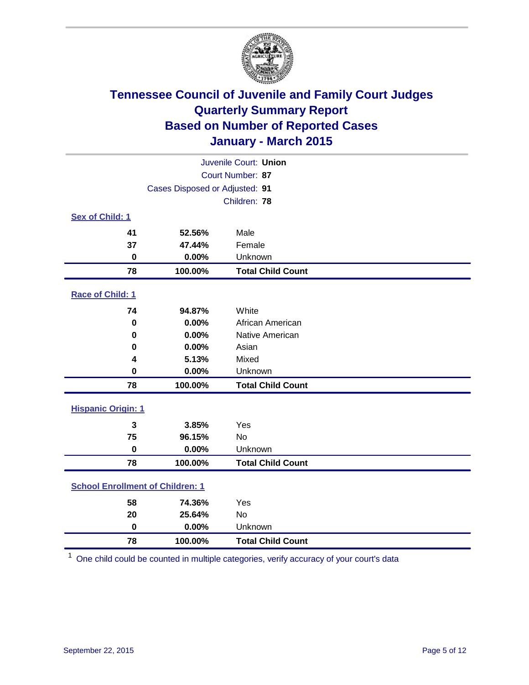

| Juvenile Court: Union                   |                                |                          |  |  |
|-----------------------------------------|--------------------------------|--------------------------|--|--|
| <b>Court Number: 87</b>                 |                                |                          |  |  |
|                                         | Cases Disposed or Adjusted: 91 |                          |  |  |
|                                         |                                | Children: 78             |  |  |
| Sex of Child: 1                         |                                |                          |  |  |
| 41                                      | 52.56%                         | Male                     |  |  |
| 37                                      | 47.44%                         | Female                   |  |  |
| $\bf{0}$                                | 0.00%                          | Unknown                  |  |  |
| 78                                      | 100.00%                        | <b>Total Child Count</b> |  |  |
| Race of Child: 1                        |                                |                          |  |  |
| 74                                      | 94.87%                         | White                    |  |  |
| $\bf{0}$                                | 0.00%                          | African American         |  |  |
| $\bf{0}$                                | 0.00%                          | Native American          |  |  |
| 0                                       | 0.00%                          | Asian                    |  |  |
| 4                                       | 5.13%                          | Mixed                    |  |  |
| 0                                       | 0.00%                          | Unknown                  |  |  |
| 78                                      | 100.00%                        | <b>Total Child Count</b> |  |  |
| <b>Hispanic Origin: 1</b>               |                                |                          |  |  |
| 3                                       | 3.85%                          | Yes                      |  |  |
| 75                                      | 96.15%                         | <b>No</b>                |  |  |
| $\bf{0}$                                | 0.00%                          | Unknown                  |  |  |
| 78                                      | 100.00%                        | <b>Total Child Count</b> |  |  |
| <b>School Enrollment of Children: 1</b> |                                |                          |  |  |
| 58                                      | 74.36%                         | Yes                      |  |  |
| 20                                      | 25.64%                         | <b>No</b>                |  |  |
| $\bf{0}$                                | 0.00%                          | Unknown                  |  |  |
| 78                                      | 100.00%                        | <b>Total Child Count</b> |  |  |

One child could be counted in multiple categories, verify accuracy of your court's data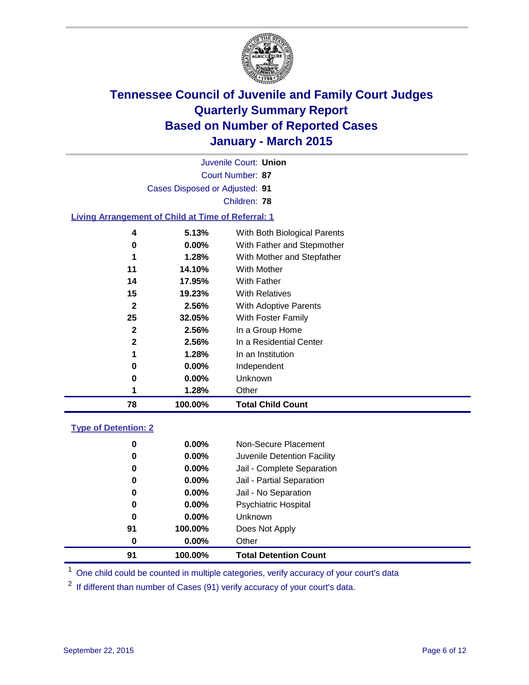

|                                                           |                                | Juvenile Court: Union        |
|-----------------------------------------------------------|--------------------------------|------------------------------|
|                                                           |                                | Court Number: 87             |
|                                                           | Cases Disposed or Adjusted: 91 |                              |
|                                                           |                                | Children: 78                 |
| <b>Living Arrangement of Child at Time of Referral: 1</b> |                                |                              |
| 4                                                         | 5.13%                          | With Both Biological Parents |
| 0                                                         | $0.00\%$                       | With Father and Stepmother   |
| 1                                                         | 1.28%                          | With Mother and Stepfather   |
| 11                                                        | 14.10%                         | With Mother                  |
| 14                                                        | 17.95%                         | With Father                  |
| 15                                                        | 19.23%                         | <b>With Relatives</b>        |
| 2                                                         | 2.56%                          | With Adoptive Parents        |
| 25                                                        | 32.05%                         | With Foster Family           |
| $\mathbf{2}$                                              | 2.56%                          | In a Group Home              |
| 2                                                         | 2.56%                          | In a Residential Center      |
| 1                                                         | 1.28%                          | In an Institution            |
| 0                                                         | $0.00\%$                       | Independent                  |
| 0                                                         | $0.00\%$                       | Unknown                      |

### **Type of Detention: 2**

| 91 | 100.00%  | <b>Total Detention Count</b> |
|----|----------|------------------------------|
| 0  | $0.00\%$ | Other                        |
| 91 | 100.00%  | Does Not Apply               |
| 0  | $0.00\%$ | Unknown                      |
| 0  | $0.00\%$ | <b>Psychiatric Hospital</b>  |
| 0  | $0.00\%$ | Jail - No Separation         |
| 0  | 0.00%    | Jail - Partial Separation    |
| 0  | $0.00\%$ | Jail - Complete Separation   |
| 0  | 0.00%    | Juvenile Detention Facility  |
| 0  | $0.00\%$ | Non-Secure Placement         |

<sup>1</sup> One child could be counted in multiple categories, verify accuracy of your court's data

If different than number of Cases (91) verify accuracy of your court's data.

**1.28%** Other

**100.00% Total Child Count**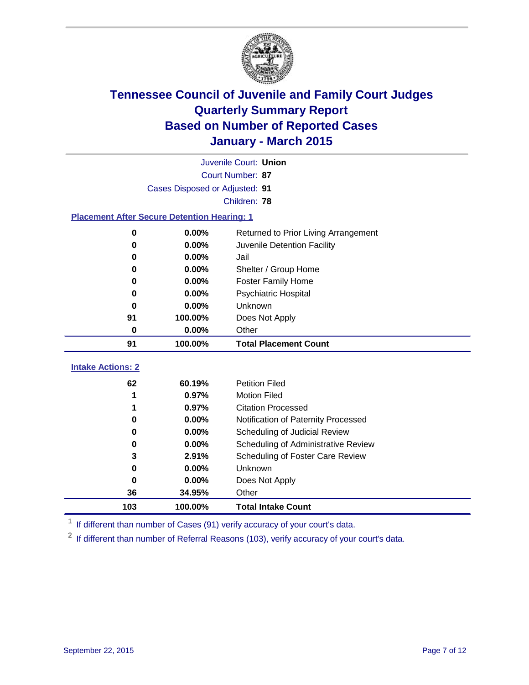

|                                                    | Juvenile Court: Union          |                                         |  |  |  |  |  |
|----------------------------------------------------|--------------------------------|-----------------------------------------|--|--|--|--|--|
|                                                    | Court Number: 87               |                                         |  |  |  |  |  |
|                                                    | Cases Disposed or Adjusted: 91 |                                         |  |  |  |  |  |
|                                                    |                                | Children: 78                            |  |  |  |  |  |
| <b>Placement After Secure Detention Hearing: 1</b> |                                |                                         |  |  |  |  |  |
| 0                                                  | 0.00%                          | Returned to Prior Living Arrangement    |  |  |  |  |  |
| 0                                                  | $0.00\%$                       | Juvenile Detention Facility             |  |  |  |  |  |
| 0                                                  | 0.00%                          | Jail                                    |  |  |  |  |  |
| 0                                                  | 0.00%                          | Shelter / Group Home                    |  |  |  |  |  |
| 0                                                  | $0.00\%$                       | <b>Foster Family Home</b>               |  |  |  |  |  |
| 0                                                  | 0.00%                          | Psychiatric Hospital                    |  |  |  |  |  |
| 0                                                  | 0.00%                          | Unknown                                 |  |  |  |  |  |
| 91                                                 | 100.00%                        | Does Not Apply                          |  |  |  |  |  |
| 0                                                  | 0.00%                          | Other                                   |  |  |  |  |  |
| 91                                                 | 100.00%                        | <b>Total Placement Count</b>            |  |  |  |  |  |
| <b>Intake Actions: 2</b>                           |                                |                                         |  |  |  |  |  |
| 62                                                 | 60.19%                         | <b>Petition Filed</b>                   |  |  |  |  |  |
|                                                    | 0.97%                          | <b>Motion Filed</b>                     |  |  |  |  |  |
| 1                                                  | 0.97%                          | <b>Citation Processed</b>               |  |  |  |  |  |
| 0                                                  | 0.00%                          | Notification of Paternity Processed     |  |  |  |  |  |
| 0                                                  | 0.00%                          | Scheduling of Judicial Review           |  |  |  |  |  |
| 0                                                  | 0.00%                          | Scheduling of Administrative Review     |  |  |  |  |  |
| 3                                                  | 2.91%                          | <b>Scheduling of Foster Care Review</b> |  |  |  |  |  |

 **0.00%** Unknown **0.00%** Does Not Apply **34.95%** Other **100.00% Total Intake Count**

<sup>1</sup> If different than number of Cases (91) verify accuracy of your court's data.

<sup>2</sup> If different than number of Referral Reasons (103), verify accuracy of your court's data.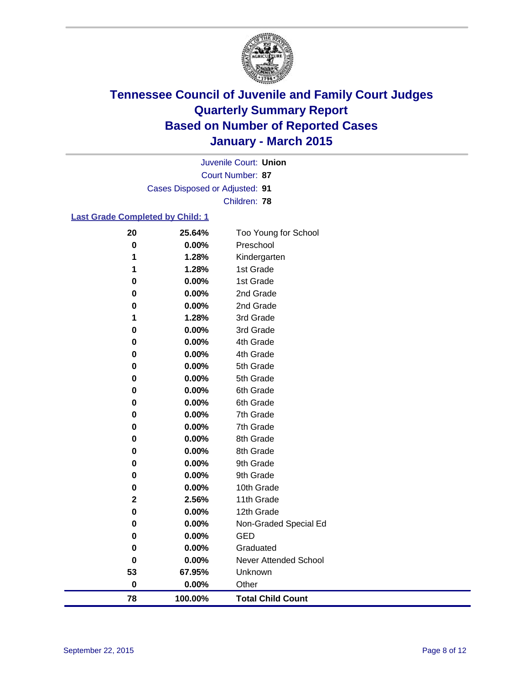

Court Number: **87** Juvenile Court: **Union** Cases Disposed or Adjusted: **91** Children: **78**

### **Last Grade Completed by Child: 1**

| 20          | 25.64%   | Too Young for School         |
|-------------|----------|------------------------------|
| $\bf{0}$    | $0.00\%$ | Preschool                    |
| 1           | 1.28%    | Kindergarten                 |
| 1           | 1.28%    | 1st Grade                    |
| 0           | 0.00%    | 1st Grade                    |
| 0           | 0.00%    | 2nd Grade                    |
| 0           | 0.00%    | 2nd Grade                    |
| 1           | 1.28%    | 3rd Grade                    |
| 0           | 0.00%    | 3rd Grade                    |
| 0           | 0.00%    | 4th Grade                    |
| 0           | 0.00%    | 4th Grade                    |
| 0           | 0.00%    | 5th Grade                    |
| 0           | 0.00%    | 5th Grade                    |
| 0           | 0.00%    | 6th Grade                    |
| 0           | 0.00%    | 6th Grade                    |
| 0           | 0.00%    | 7th Grade                    |
| 0           | 0.00%    | 7th Grade                    |
| 0           | 0.00%    | 8th Grade                    |
| 0           | 0.00%    | 8th Grade                    |
| 0           | 0.00%    | 9th Grade                    |
| 0           | 0.00%    | 9th Grade                    |
| 0           | 0.00%    | 10th Grade                   |
| $\mathbf 2$ | 2.56%    | 11th Grade                   |
| 0           | 0.00%    | 12th Grade                   |
| 0           | 0.00%    | Non-Graded Special Ed        |
| 0           | 0.00%    | <b>GED</b>                   |
| 0           | 0.00%    | Graduated                    |
| 0           | 0.00%    | <b>Never Attended School</b> |
| 53          | 67.95%   | Unknown                      |
| $\bf{0}$    | 0.00%    | Other                        |
| 78          | 100.00%  | <b>Total Child Count</b>     |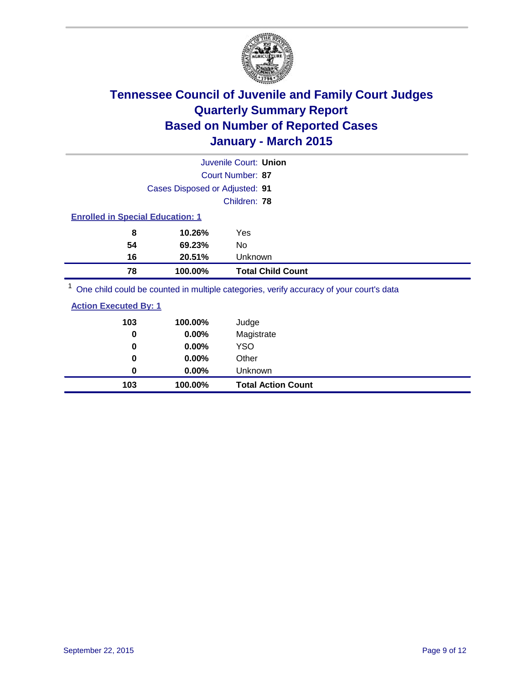

|                                         |                                | Juvenile Court: Union    |
|-----------------------------------------|--------------------------------|--------------------------|
|                                         |                                | Court Number: 87         |
|                                         | Cases Disposed or Adjusted: 91 |                          |
|                                         |                                | Children: 78             |
| <b>Enrolled in Special Education: 1</b> |                                |                          |
| 8                                       | 10.26%                         | Yes                      |
| 54                                      | 69.23%                         | No                       |
| 16                                      | 20.51%                         | Unknown                  |
| 78                                      | 100.00%                        | <b>Total Child Count</b> |
| $1 -$                                   |                                |                          |

<sup>1</sup> One child could be counted in multiple categories, verify accuracy of your court's data

| <b>Action Executed By: 1</b> |         |       |
|------------------------------|---------|-------|
| 103                          | 100.00% | Judge |
|                              |         |       |

| 103  | 100.00%     | <b>Total Action Count</b> |
|------|-------------|---------------------------|
| 0    | $0.00\%$    | Unknown                   |
| 0    | $0.00\%$    | Other                     |
| 0    | $0.00\%$    | <b>YSO</b>                |
| 0    | 0.00%       | Magistrate                |
| . vv | 1 VV.VV / U | vuuyv                     |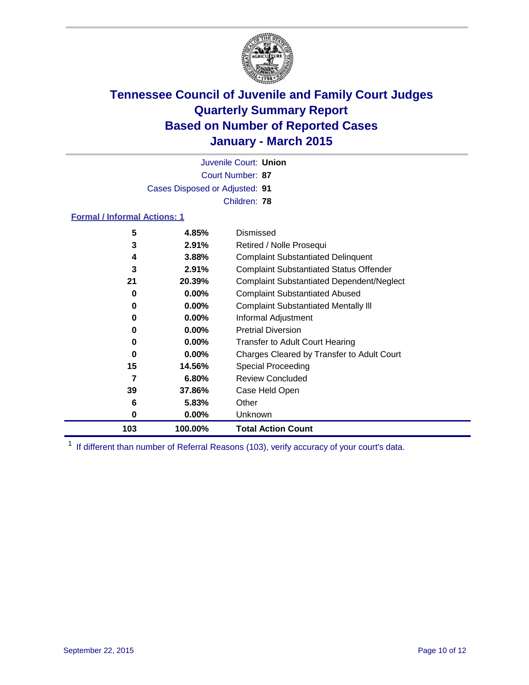

Court Number: **87** Juvenile Court: **Union** Cases Disposed or Adjusted: **91** Children: **78**

#### **Formal / Informal Actions: 1**

| 5   | 4.85%    | Dismissed                                        |
|-----|----------|--------------------------------------------------|
| 3   | 2.91%    | Retired / Nolle Prosequi                         |
| 4   | 3.88%    | <b>Complaint Substantiated Delinquent</b>        |
| 3   | 2.91%    | <b>Complaint Substantiated Status Offender</b>   |
| 21  | 20.39%   | <b>Complaint Substantiated Dependent/Neglect</b> |
| 0   | $0.00\%$ | <b>Complaint Substantiated Abused</b>            |
| 0   | $0.00\%$ | <b>Complaint Substantiated Mentally III</b>      |
| 0   | $0.00\%$ | Informal Adjustment                              |
| 0   | $0.00\%$ | <b>Pretrial Diversion</b>                        |
| 0   | $0.00\%$ | <b>Transfer to Adult Court Hearing</b>           |
| 0   | $0.00\%$ | Charges Cleared by Transfer to Adult Court       |
| 15  | 14.56%   | <b>Special Proceeding</b>                        |
| 7   | 6.80%    | <b>Review Concluded</b>                          |
| 39  | 37.86%   | Case Held Open                                   |
| 6   | 5.83%    | Other                                            |
| 0   | $0.00\%$ | Unknown                                          |
| 103 | 100.00%  | <b>Total Action Count</b>                        |

<sup>1</sup> If different than number of Referral Reasons (103), verify accuracy of your court's data.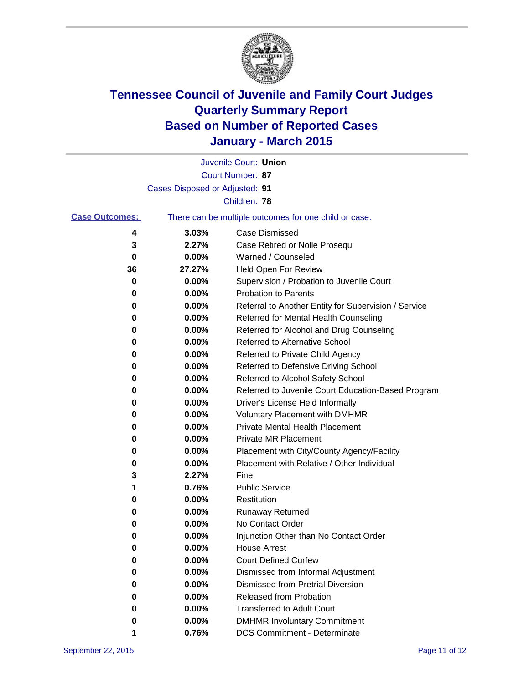

|                       |                                | Juvenile Court: Union                                 |
|-----------------------|--------------------------------|-------------------------------------------------------|
|                       |                                | Court Number: 87                                      |
|                       | Cases Disposed or Adjusted: 91 |                                                       |
|                       |                                | Children: 78                                          |
| <b>Case Outcomes:</b> |                                | There can be multiple outcomes for one child or case. |
| 4                     | 3.03%                          | <b>Case Dismissed</b>                                 |
| 3                     | 2.27%                          | Case Retired or Nolle Prosequi                        |
| 0                     | 0.00%                          | Warned / Counseled                                    |
| 36                    | 27.27%                         | Held Open For Review                                  |
| 0                     | 0.00%                          | Supervision / Probation to Juvenile Court             |
| 0                     | 0.00%                          | <b>Probation to Parents</b>                           |
| 0                     | 0.00%                          | Referral to Another Entity for Supervision / Service  |
| 0                     | 0.00%                          | Referred for Mental Health Counseling                 |
| 0                     | 0.00%                          | Referred for Alcohol and Drug Counseling              |
| 0                     | 0.00%                          | Referred to Alternative School                        |
| 0                     | 0.00%                          | Referred to Private Child Agency                      |
| 0                     | 0.00%                          | Referred to Defensive Driving School                  |
| 0                     | 0.00%                          | Referred to Alcohol Safety School                     |
| 0                     | 0.00%                          | Referred to Juvenile Court Education-Based Program    |
| 0                     | 0.00%                          | Driver's License Held Informally                      |
| 0                     | 0.00%                          | <b>Voluntary Placement with DMHMR</b>                 |
| 0                     | 0.00%                          | <b>Private Mental Health Placement</b>                |
| 0                     | 0.00%                          | Private MR Placement                                  |
| 0                     | 0.00%                          | Placement with City/County Agency/Facility            |
| 0                     | 0.00%                          | Placement with Relative / Other Individual            |
| 3                     | 2.27%                          | Fine                                                  |
| 1                     | 0.76%                          | <b>Public Service</b>                                 |
| 0                     | 0.00%                          | Restitution                                           |
| 0                     | 0.00%                          | <b>Runaway Returned</b>                               |
| 0                     | 0.00%                          | No Contact Order                                      |
| 0                     | 0.00%                          | Injunction Other than No Contact Order                |
| U                     | 0.00%                          | <b>House Arrest</b>                                   |
| 0                     | 0.00%                          | <b>Court Defined Curfew</b>                           |
| 0                     | 0.00%                          | Dismissed from Informal Adjustment                    |
| 0                     | 0.00%                          | <b>Dismissed from Pretrial Diversion</b>              |
| 0                     | 0.00%                          | Released from Probation                               |
| 0                     | 0.00%                          | <b>Transferred to Adult Court</b>                     |
| O                     | 0.00%                          | <b>DMHMR Involuntary Commitment</b>                   |
| 1                     | 0.76%                          | <b>DCS Commitment - Determinate</b>                   |